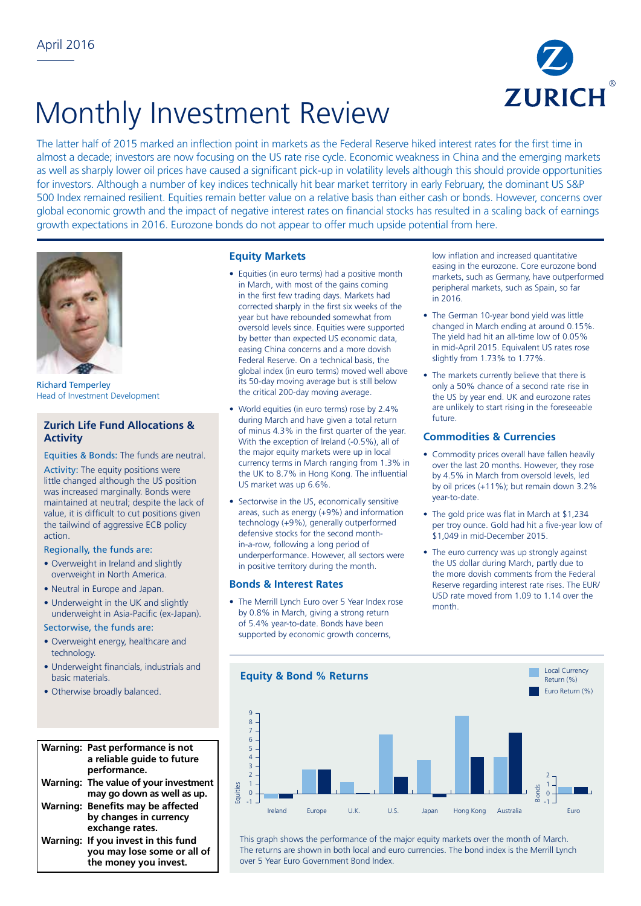

# Monthly Investment Review

The latter half of 2015 marked an inflection point in markets as the Federal Reserve hiked interest rates for the first time in almost a decade; investors are now focusing on the US rate rise cycle. Economic weakness in China and the emerging markets as well as sharply lower oil prices have caused a significant pick-up in volatility levels although this should provide opportunities for investors. Although a number of key indices technically hit bear market territory in early February, the dominant US S&P 500 Index remained resilient. Equities remain better value on a relative basis than either cash or bonds. However, concerns over global economic growth and the impact of negative interest rates on financial stocks has resulted in a scaling back of earnings growth expectations in 2016. Eurozone bonds do not appear to offer much upside potential from here.



Richard Temperley Head of Investment Development

# **Zurich Life Fund Allocations & Activity**

Equities & Bonds: The funds are neutral.

Activity: The equity positions were little changed although the US position was increased marginally. Bonds were maintained at neutral; despite the lack of value, it is difficult to cut positions given the tailwind of aggressive ECB policy action.

### Regionally, the funds are:

- Overweight in Ireland and slightly overweight in North America.
- Neutral in Europe and Japan.
- Underweight in the UK and slightly underweight in Asia-Pacific (ex-Japan).

## Sectorwise, the funds are:

- Overweight energy, healthcare and technology. 12
- Underweight financials, industrials and basic materials.
- Otherwise broadly balanced.

#### **Warning: Past performance is not**  8 **a reliable guide to future**  7 **performance. Warning: The value of your investment**  7 3 **may go down as well as up.**  0 6 Warning: Benefits may be affected **by changes in currency**  -3 **exchange rates.**  4 **Warning: If you invest in this fund**  -4 **you may lose some or all of**  -5 -6 **the money you invest.** -6 -8  $+$ hic  $\ddot{\phantom{1}}$ 9  $\ddot{\phantom{0}}$

-9

# **Equity Markets**

- Equities (in euro terms) had a positive month in March, with most of the gains coming in the first few trading days. Markets had corrected sharply in the first six weeks of the year but have rebounded somewhat from oversold levels since. Equities were supported by better than expected US economic data, easing China concerns and a more dovish Federal Reserve. On a technical basis, the global index (in euro terms) moved well above its 50-day moving average but is still below the critical 200-day moving average.
- World equities (in euro terms) rose by 2.4% during March and have given a total return of minus 4.3% in the first quarter of the year. With the exception of Ireland (-0.5%), all of the major equity markets were up in local currency terms in March ranging from 1.3% in the UK to 8.7% in Hong Kong. The influential US market was up 6.6%.
- Sectorwise in the US, economically sensitive areas, such as energy (+9%) and information technology (+9%), generally outperformed defensive stocks for the second monthin-a-row, following a long period of underperformance. However, all sectors were in positive territory during the month.

## **Bonds & Interest Rates**

• The Merrill Lynch Euro over 5 Year Index rose by 0.8% in March, giving a strong return of 5.4% year-to-date. Bonds have been supported by economic growth concerns,

low inflation and increased quantitative easing in the eurozone. Core eurozone bond markets, such as Germany, have outperformed peripheral markets, such as Spain, so far in 2016.

- The German 10-year bond yield was little changed in March ending at around 0.15%. The yield had hit an all-time low of 0.05% in mid-April 2015. Equivalent US rates rose slightly from 1.73% to 1.77%.
- The markets currently believe that there is only a 50% chance of a second rate rise in the US by year end. UK and eurozone rates are unlikely to start rising in the foreseeable future.

# **Commodities & Currencies**

- Commodity prices overall have fallen heavily over the last 20 months. However, they rose by 4.5% in March from oversold levels, led by oil prices (+11%); but remain down 3.2% year-to-date.
- The gold price was flat in March at \$1,234 per troy ounce. Gold had hit a five-year low of \$1,049 in mid-December 2015.
- The euro currency was up strongly against the US dollar during March, partly due to the more dovish comments from the Federal Reserve regarding interest rate rises. The EUR/ USD rate moved from 1.09 to 1.14 over the month.



This graph shows the performance of the major equity markets over the month of March. The returns are shown in both local and euro currencies. The bond index is the Merrill Lynch over 5 Year Euro Government Bond Index.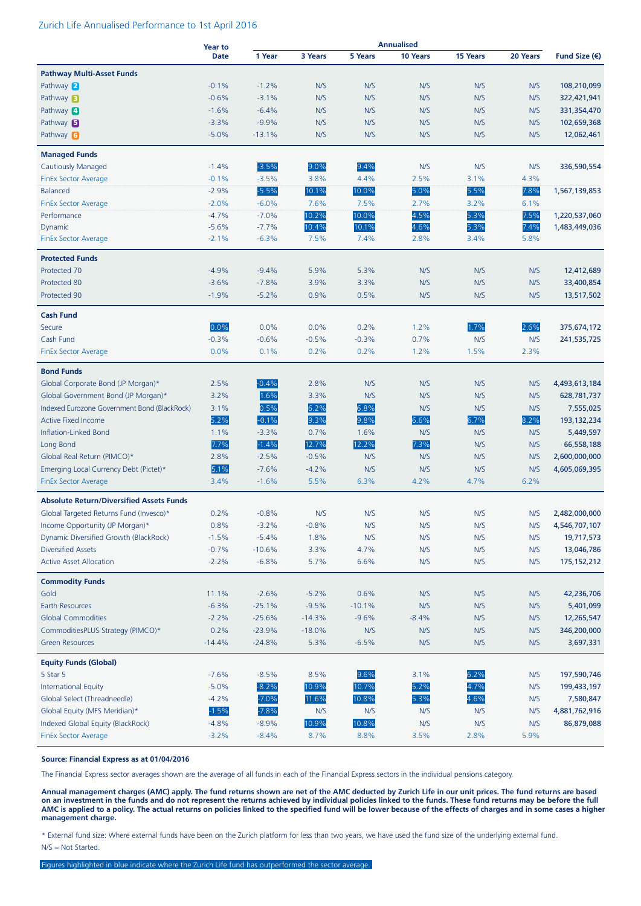#### Zurich Life Annualised Performance to 1st April 2016

|                                                 | <b>Year to</b> |          |          |          | <b>Annualised</b> |                 |          |                        |
|-------------------------------------------------|----------------|----------|----------|----------|-------------------|-----------------|----------|------------------------|
|                                                 | <b>Date</b>    | 1 Year   | 3 Years  | 5 Years  | <b>10 Years</b>   | <b>15 Years</b> | 20 Years | Fund Size $(\epsilon)$ |
| <b>Pathway Multi-Asset Funds</b>                |                |          |          |          |                   |                 |          |                        |
| Pathway 2                                       | $-0.1%$        | $-1.2%$  | N/S      | N/S      | N/S               | N/S             | N/S      | 108,210,099            |
| Pathway <b>B</b>                                | $-0.6%$        | $-3.1%$  | N/S      | N/S      | N/S               | N/S             | N/S      | 322,421,941            |
| Pathway 4                                       | $-1.6%$        | $-6.4%$  | N/S      | N/S      | N/S               | N/S             | N/S      | 331,354,470            |
| Pathway <b>B</b>                                | $-3.3%$        | $-9.9%$  | N/S      | N/S      | N/S               | N/S             | N/S      | 102,659,368            |
| Pathway 6                                       | $-5.0%$        | $-13.1%$ | N/S      | N/S      | N/S               | N/S             | N/S      | 12,062,461             |
|                                                 |                |          |          |          |                   |                 |          |                        |
| <b>Managed Funds</b>                            |                |          |          |          |                   |                 |          |                        |
| <b>Cautiously Managed</b>                       | $-1.4%$        | $-3.5%$  | 9.0%     | 9.4%     | N/S               | N/S             | N/S      | 336,590,554            |
| <b>FinEx Sector Average</b>                     | $-0.1%$        | $-3.5%$  | 3.8%     | 4.4%     | 2.5%              | 3.1%            | 4.3%     |                        |
| Balanced                                        | $-2.9%$        | $-5.5%$  | 10.1%    | 10.0%    | 5.0%              | 5.5%            | 7.8%     | 1,567,139,853          |
| <b>FinEx Sector Average</b>                     | $-2.0%$        | $-6.0%$  | 7.6%     | 7.5%     | 2.7%              | 3.2%            | 6.1%     |                        |
| Performance                                     | $-4.7%$        | $-7.0%$  | 10.2%    | 10.0%    | 4.5%              | 5.3%            | 7.5%     | 1,220,537,060          |
| Dynamic                                         | $-5.6%$        | $-7.7%$  | 10.4%    | 10.1%    | 4.6%              | 5.3%            | 7.4%     | 1,483,449,036          |
| <b>FinEx Sector Average</b>                     | $-2.1%$        | $-6.3%$  | 7.5%     | 7.4%     | 2.8%              | 3.4%            | 5.8%     |                        |
| <b>Protected Funds</b>                          |                |          |          |          |                   |                 |          |                        |
| Protected 70                                    | $-4.9%$        | $-9.4%$  | 5.9%     | 5.3%     | N/S               | N/S             | N/S      | 12,412,689             |
| Protected 80                                    | $-3.6%$        | $-7.8%$  | 3.9%     | 3.3%     | N/S               | N/S             | N/S      | 33,400,854             |
| Protected 90                                    | $-1.9%$        | $-5.2%$  | 0.9%     | 0.5%     | N/S               | N/S             | N/S      | 13,517,502             |
|                                                 |                |          |          |          |                   |                 |          |                        |
| <b>Cash Fund</b>                                | 0.0%           |          |          |          |                   |                 |          |                        |
| Secure                                          |                | 0.0%     | 0.0%     | 0.2%     | 1.2%              | 1.7%            | 2.6%     | 375,674,172            |
| Cash Fund                                       | $-0.3%$        | $-0.6%$  | $-0.5%$  | $-0.3%$  | 0.7%              | N/S             | N/S      | 241,535,725            |
| <b>FinEx Sector Average</b>                     | 0.0%           | 0.1%     | 0.2%     | 0.2%     | 1.2%              | 1.5%            | 2.3%     |                        |
| <b>Bond Funds</b>                               |                |          |          |          |                   |                 |          |                        |
| Global Corporate Bond (JP Morgan)*              | 2.5%           | $-0.4%$  | 2.8%     | N/S      | N/S               | N/S             | N/S      | 4,493,613,184          |
| Global Government Bond (JP Morgan)*             | 3.2%           | 1.6%     | 3.3%     | N/S      | N/S               | N/S             | N/S      | 628,781,737            |
| Indexed Eurozone Government Bond (BlackRock)    | 3.1%           | 0.5%     | 6.2%     | 6.8%     | N/S               | N/S             | N/S      | 7,555,025              |
| <b>Active Fixed Income</b>                      | 5.2%           | $-0.1%$  | 9.3%     | 9.8%     | 6.6%              | 6.7%            | 8.2%     | 193, 132, 234          |
| Inflation-Linked Bond                           | 1.1%           | $-3.3%$  | 0.7%     | 1.6%     | N/S               | N/S             | N/S      | 5,449,597              |
| Long Bond                                       | 7.7%           | $-1.4%$  | 12.7%    | 12.2%    | 7.3%              | N/S             | N/S      | 66,558,188             |
| Global Real Return (PIMCO)*                     | 2.8%           | $-2.5%$  | $-0.5%$  | N/S      | N/S               | N/S             | N/S      | 2,600,000,000          |
| Emerging Local Currency Debt (Pictet)*          | 5.1%           | $-7.6%$  | $-4.2%$  | N/S      | N/S               | N/S             | N/S      | 4,605,069,395          |
| <b>FinEx Sector Average</b>                     | 3.4%           | $-1.6%$  | 5.5%     | 6.3%     | 4.2%              | 4.7%            | 6.2%     |                        |
| <b>Absolute Return/Diversified Assets Funds</b> |                |          |          |          |                   |                 |          |                        |
| Global Targeted Returns Fund (Invesco)*         | 0.2%           | $-0.8%$  | N/S      | N/S      | N/S               | N/S             | N/S      | 2,482,000,000          |
| Income Opportunity (JP Morgan)*                 | 0.8%           | $-3.2%$  | $-0.8%$  | N/S      | N/S               | N/S             | N/S      | 4,546,707,107          |
| Dynamic Diversified Growth (BlackRock)          | $-1.5%$        | $-5.4%$  | 1.8%     | N/S      | N/S               | N/S             | N/S      | 19,717,573             |
| <b>Diversified Assets</b>                       | $-0.7%$        | $-10.6%$ | 3.3%     | 4.7%     | N/S               | N/S             | N/S      | 13,046,786             |
| <b>Active Asset Allocation</b>                  | $-2.2%$        | $-6.8%$  | 5.7%     | 6.6%     | N/S               | N/S             | N/S      | 175, 152, 212          |
|                                                 |                |          |          |          |                   |                 |          |                        |
| <b>Commodity Funds</b>                          |                |          |          |          |                   |                 |          |                        |
| Gold                                            | 11.1%          | $-2.6%$  | $-5.2%$  | 0.6%     | N/S               | N/S             | N/S      | 42,236,706             |
| <b>Earth Resources</b>                          | $-6.3%$        | $-25.1%$ | $-9.5%$  | $-10.1%$ | N/S               | N/S             | N/S      | 5,401,099              |
| <b>Global Commodities</b>                       | $-2.2%$        | $-25.6%$ | $-14.3%$ | $-9.6%$  | $-8.4%$           | N/S             | N/S      | 12,265,547             |
| CommoditiesPLUS Strategy (PIMCO)*               | 0.2%           | $-23.9%$ | $-18.0%$ | N/S      | N/S               | N/S             | N/S      | 346,200,000            |
| <b>Green Resources</b>                          | $-14.4%$       | $-24.8%$ | 5.3%     | $-6.5%$  | N/S               | N/S             | N/S      | 3,697,331              |
| <b>Equity Funds (Global)</b>                    |                |          |          |          |                   |                 |          |                        |
| 5 Star 5                                        | $-7.6%$        | $-8.5%$  | 8.5%     | 9.6%     | 3.1%              | 6.2%            | N/S      | 197,590,746            |
| <b>International Equity</b>                     | $-5.0%$        | $-8.2%$  | 10.9%    | 10.7%    | 5.2%              | 4.7%            | N/S      | 199,433,197            |
| Global Select (Threadneedle)                    | $-4.2%$        | $-7.0%$  | 11.6%    | 10.8%    | 5.3%              | 4.6%            | N/S      | 7,580,847              |
| Global Equity (MFS Meridian)*                   | $-1.5%$        | $-7.8%$  | N/S      | N/S      | N/S               | N/S             | N/S      | 4,881,762,916          |
| Indexed Global Equity (BlackRock)               | $-4.8%$        | $-8.9%$  | 10.9%    | 10.8%    | N/S               | N/S             | N/S      | 86,879,088             |
| <b>FinEx Sector Average</b>                     | $-3.2%$        | $-8.4%$  | 8.7%     | 8.8%     | 3.5%              | 2.8%            | 5.9%     |                        |

#### **Source: Financial Express as at 01/04/2016**

The Financial Express sector averages shown are the average of all funds in each of the Financial Express sectors in the individual pensions category.

**Annual management charges (AMC) apply. The fund returns shown are net of the AMC deducted by Zurich Life in our unit prices. The fund returns are based on an investment in the funds and do not represent the returns achieved by individual policies linked to the funds. These fund returns may be before the full AMC is applied to a policy. The actual returns on policies linked to the specified fund will be lower because of the effects of charges and in some cases a higher management charge.**

\* External fund size: Where external funds have been on the Zurich platform for less than two years, we have used the fund size of the underlying external fund. N/S = Not Started.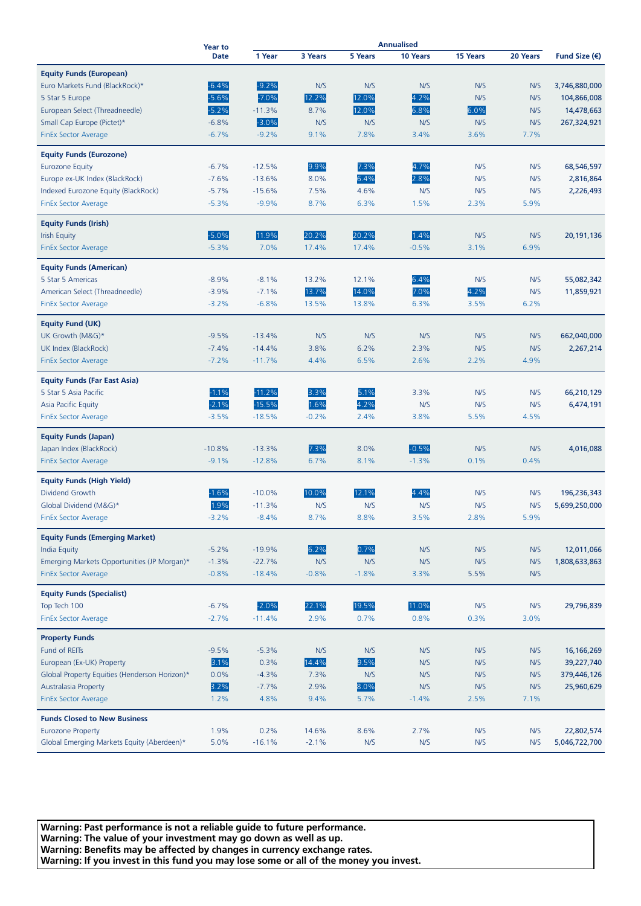|                                               | <b>Year to</b><br><b>Date</b> | <b>Annualised</b> |         |                |          |          |          |                        |
|-----------------------------------------------|-------------------------------|-------------------|---------|----------------|----------|----------|----------|------------------------|
|                                               |                               | 1 Year            | 3 Years | <b>5 Years</b> | 10 Years | 15 Years | 20 Years | Fund Size $(\epsilon)$ |
| <b>Equity Funds (European)</b>                |                               |                   |         |                |          |          |          |                        |
| Euro Markets Fund (BlackRock)*                | $-6.4%$                       | $-9.2%$           | N/S     | N/S            | N/S      | N/S      | N/S      | 3,746,880,000          |
|                                               | $-5.6%$                       | $-7.0%$           | 12.2%   | 12.0%          | 4.2%     | N/S      | N/S      | 104,866,008            |
| 5 Star 5 Europe                               | $-5.2%$                       | $-11.3%$          |         |                |          | 6.0%     |          |                        |
| European Select (Threadneedle)                |                               |                   | 8.7%    | 12.0%          | 6.8%     |          | N/S      | 14,478,663             |
| Small Cap Europe (Pictet)*                    | $-6.8%$                       | $-3.0%$           | N/S     | N/S            | N/S      | N/S      | N/S      | 267,324,921            |
| <b>FinEx Sector Average</b>                   | $-6.7%$                       | $-9.2%$           | 9.1%    | 7.8%           | 3.4%     | 3.6%     | 7.7%     |                        |
| <b>Equity Funds (Eurozone)</b>                |                               |                   |         |                |          |          |          |                        |
| <b>Eurozone Equity</b>                        | $-6.7%$                       | $-12.5%$          | 9.9%    | 7.3%           | 4.7%     | N/S      | N/S      | 68,546,597             |
| Europe ex-UK Index (BlackRock)                | $-7.6%$                       | $-13.6%$          | 8.0%    | 6.4%           | 2.8%     | N/S      | N/S      | 2,816,864              |
| Indexed Eurozone Equity (BlackRock)           | $-5.7%$                       | $-15.6%$          | 7.5%    | 4.6%           | N/S      | N/S      | N/S      | 2,226,493              |
| <b>FinEx Sector Average</b>                   | $-5.3%$                       | $-9.9%$           | 8.7%    | 6.3%           | 1.5%     | 2.3%     | 5.9%     |                        |
|                                               |                               |                   |         |                |          |          |          |                        |
| <b>Equity Funds (Irish)</b>                   |                               |                   |         |                |          |          |          |                        |
| <b>Irish Equity</b>                           | $-5.0%$                       | 11.9%             | 20.2%   | 20.2%          | 1.4%     | N/S      | N/S      | 20,191,136             |
| FinEx Sector Average                          | $-5.3%$                       | 7.0%              | 17.4%   | 17.4%          | $-0.5%$  | 3.1%     | 6.9%     |                        |
| <b>Equity Funds (American)</b>                |                               |                   |         |                |          |          |          |                        |
| 5 Star 5 Americas                             | $-8.9%$                       | $-8.1%$           | 13.2%   | 12.1%          | 6.4%     | N/S      | N/S      | 55,082,342             |
| American Select (Threadneedle)                | $-3.9%$                       | $-7.1%$           | 13.7%   | 14.0%          | 7.0%     | 4.2%     | N/S      | 11,859,921             |
| <b>FinEx Sector Average</b>                   | $-3.2%$                       | $-6.8%$           | 13.5%   | 13.8%          | 6.3%     | 3.5%     | 6.2%     |                        |
| <b>Equity Fund (UK)</b>                       |                               |                   |         |                |          |          |          |                        |
| UK Growth (M&G)*                              | $-9.5%$                       | $-13.4%$          | N/S     | N/S            | N/S      | N/S      | N/S      | 662,040,000            |
|                                               | $-7.4%$                       |                   |         | 6.2%           |          |          | N/S      |                        |
| UK Index (BlackRock)                          |                               | $-14.4%$          | 3.8%    |                | 2.3%     | N/S      |          | 2,267,214              |
| <b>FinEx Sector Average</b>                   | $-7.2%$                       | $-11.7%$          | 4.4%    | 6.5%           | 2.6%     | 2.2%     | 4.9%     |                        |
| <b>Equity Funds (Far East Asia)</b>           |                               |                   |         |                |          |          |          |                        |
| 5 Star 5 Asia Pacific                         | $-1.1%$                       | $-11.2%$          | 3.3%    | 5.1%           | 3.3%     | N/S      | N/S      | 66,210,129             |
| Asia Pacific Equity                           | $-2.1%$                       | $-15.5%$          | 1.6%    | 4.2%           | N/S      | N/S      | N/S      | 6,474,191              |
| <b>FinEx Sector Average</b>                   | $-3.5%$                       | $-18.5%$          | $-0.2%$ | 2.4%           | 3.8%     | 5.5%     | 4.5%     |                        |
| <b>Equity Funds (Japan)</b>                   |                               |                   |         |                |          |          |          |                        |
| Japan Index (BlackRock)                       | $-10.8%$                      | $-13.3%$          | 7.3%    | 8.0%           | $-0.5%$  | N/S      | N/S      | 4,016,088              |
| <b>FinEx Sector Average</b>                   | $-9.1%$                       | $-12.8%$          | 6.7%    | 8.1%           | $-1.3%$  | 0.1%     | 0.4%     |                        |
|                                               |                               |                   |         |                |          |          |          |                        |
| <b>Equity Funds (High Yield)</b>              |                               |                   |         |                |          |          |          |                        |
| Dividend Growth                               | $-1.6%$                       | $-10.0%$          | 10.0%   | 12.1%          | 4.4%     | N/S      | N/S      | 196,236,343            |
| Global Dividend (M&G)*                        | 1.9%                          | $-11.3%$          | N/S     | N/S            | N/S      | N/S      | N/S      | 5,699,250,000          |
| <b>FinEx Sector Average</b>                   | $-3.2%$                       | $-8.4%$           | 8.7%    | 8.8%           | 3.5%     | 2.8%     | 5.9%     |                        |
| <b>Equity Funds (Emerging Market)</b>         |                               |                   |         |                |          |          |          |                        |
| <b>India Equity</b>                           | $-5.2%$                       | $-19.9%$          | 6.2%    | 0.7%           | N/S      | N/S      | N/S      | 12,011,066             |
| Emerging Markets Opportunities (JP Morgan)*   | $-1.3%$                       | $-22.7%$          | N/S     | N/S            | N/S      | N/S      | N/S      | 1,808,633,863          |
| <b>FinEx Sector Average</b>                   | $-0.8%$                       | $-18.4%$          | $-0.8%$ | $-1.8%$        | 3.3%     | 5.5%     | N/S      |                        |
|                                               |                               |                   |         |                |          |          |          |                        |
| <b>Equity Funds (Specialist)</b>              |                               |                   |         |                |          |          |          |                        |
| Top Tech 100                                  | $-6.7%$                       | $-2.0%$           | 22.1%   | 19.5%          | 11.0%    | N/S      | N/S      | 29,796,839             |
| <b>FinEx Sector Average</b>                   | $-2.7%$                       | $-11.4%$          | 2.9%    | 0.7%           | 0.8%     | 0.3%     | 3.0%     |                        |
| <b>Property Funds</b>                         |                               |                   |         |                |          |          |          |                        |
| Fund of REITs                                 | $-9.5%$                       | $-5.3%$           | N/S     | N/S            | N/S      | N/S      | N/S      | 16, 166, 269           |
| European (Ex-UK) Property                     | 3.1%                          | 0.3%              | 14.4%   | 9.5%           | N/S      | N/S      | N/S      | 39,227,740             |
| Global Property Equities (Henderson Horizon)* | 0.0%                          | $-4.3%$           | 7.3%    | N/S            | N/S      | N/S      | N/S      | 379,446,126            |
| <b>Australasia Property</b>                   | 3.2%                          | $-7.7%$           | 2.9%    | 8.0%           | N/S      | N/S      | N/S      | 25,960,629             |
| <b>FinEx Sector Average</b>                   | 1.2%                          | 4.8%              | 9.4%    | 5.7%           | $-1.4%$  | 2.5%     | 7.1%     |                        |
| <b>Funds Closed to New Business</b>           |                               |                   |         |                |          |          |          |                        |
| <b>Eurozone Property</b>                      | 1.9%                          | 0.2%              | 14.6%   | 8.6%           | 2.7%     | N/S      | N/S      | 22,802,574             |
| Global Emerging Markets Equity (Aberdeen)*    | 5.0%                          | $-16.1%$          | $-2.1%$ | N/S            | N/S      | N/S      | N/S      | 5,046,722,700          |
|                                               |                               |                   |         |                |          |          |          |                        |

**Warning: Past performance is not a reliable guide to future performance. Warning: The value of your investment may go down as well as up. Warning: Benefits may be affected by changes in currency exchange rates. Warning: If you invest in this fund you may lose some or all of the money you invest.**